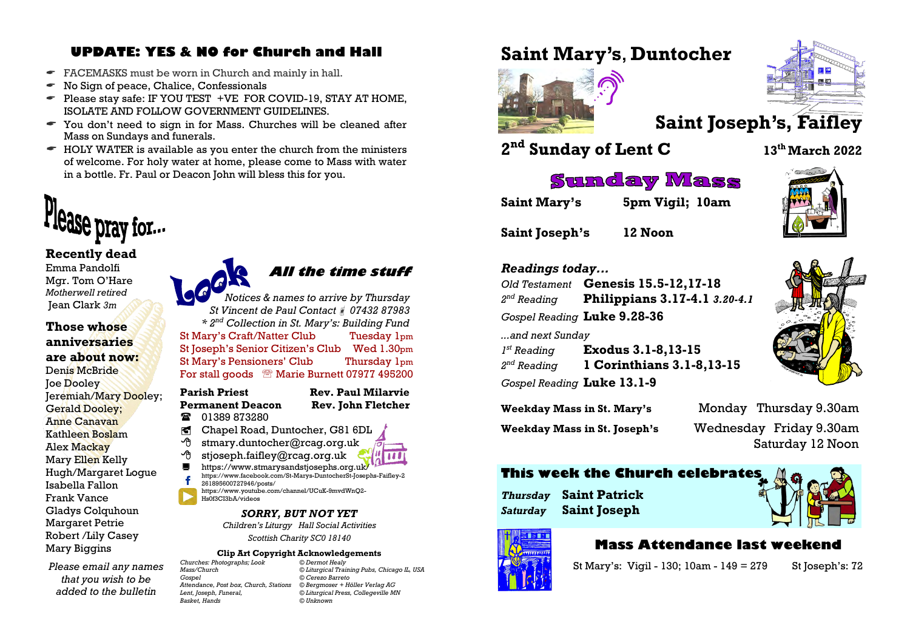# **UPDATE: YES & NO for Church and Hall**

- FACEMASKS must be worn in Church and mainly in hall.
- $\bullet$  No Sign of peace, Chalice, Confessionals
- $\bullet$  Please stay safe: IF YOU TEST +VE FOR COVID-19, STAY AT HOME, ISOLATE AND FOLLOW GOVERNMENT GUIDELINES.
- You don't need to sign in for Mass. Churches will be cleaned after Mass on Sundays and funerals.
- $\bullet$  HOLY WATER is available as you enter the church from the ministers of welcome. For holy water at home, please come to Mass with water in a bottle. Fr. Paul or Deacon John will bless this for you.



#### **Recently dead**

Emma Pandolfi Mgr. Tom O'Hare *Motherwell retired* Jean Clark *3m*

#### **Those whose anniversaries are about now:**

Denis McBride **Joe Dooley** Jeremiah/Mary Dooley; Gerald Dooley; Anne Canavan Kathleen Boslam Alex Mackay Mary Ellen Kelly Hugh/Margaret Logue Isabella Fallon Frank Vance Gladys Colquhoun Margaret Petrie Robert /Lily Casey Mary Biggins

*Please email any names that you wish to be added to the bulletin* 

 **All the time stuff**

*Notices & names to arrive by Thursday St Vincent de Paul Contact 07432 87983 \* 2nd Collection in St. Mary's: Building Fund* St Mary's Craft/Natter Club Tuesday 1pm St Joseph's Senior Citizen's Club Wed 1.30pm St Mary's Pensioners' Club Thursday 1pm For stall goods <sup>®</sup> Marie Burnett 07977 495200

#### **Parish Priest Rev. Paul Milarvie Permanent Deacon Rev. John Fletcher**

- **12** 01389 873280
- Chapel Road, Duntocher, G81 6DL
- $\Theta$  stmary.duntocher@rcag.org.uk
- $\partial$  stjoseph.faifley@rcag.org.uk
- <https://www.stmarysandstjosephs.org.uk/> [https://www.facebook.com/St-Marys-DuntocherSt-Josephs-Faifley-2](https://www.facebook.com/St-Marys-DuntocherSt-Josephs-Faifley-2261895600727946/posts/) [261895600727946/posts/](https://www.facebook.com/St-Marys-DuntocherSt-Josephs-Faifley-2261895600727946/posts/)
- [https://www.youtube.com/channel/UCuK-9mvdWnQ2-](https://www.youtube.com/channel/UCuK-9mvdWnQ2-Hs0f3CI3bA/videos) [Hs0f3CI3bA/videos](https://www.youtube.com/channel/UCuK-9mvdWnQ2-Hs0f3CI3bA/videos)

#### *SORRY, BUT NOT YET Children's Liturgy Hall Social Activities*

*Scottish Charity SC0 18140*

# **Clip Art Copyright Acknowledgements**<br>botographs: **Look** © Dermot Healy

*Churches: Photographs; Look © Dermot Healy Attendance, Post box, Church, Stations © Bergmoser + Höller Verlag AG Basket, Hands © Unknown*

*Mass/Church © Liturgical Training Pubs, Chicago IL, USA Gospel © Cerezo Barreto*  $©$ *Liturgical Press, Collegeville MN* 

# **Saint Mary's**, **Duntocher**



# **Saint Joseph's, Faifley**

**2 nd Sunday of Lent C <sup>13</sup>th March 2022**

# **Sunday Mass**

**Saint Mary's 5pm Vigil; 10am**

**Saint Joseph's 12 Noon**



#### *Readings today...*

*Old Testament* **Genesis 15.5-12,17-18**  $2<sup>nd</sup>$  Reading *nd Reading* **Philippians 3.17-4.1** *3.20-4.1 Gospel Reading* **Luke 9.28-36** *...and next Sunday*  $I^{st}$  Reading *st Reading* **Exodus 3.1-8,13-15**  $2<sup>nd</sup>$  Reading *nd Reading* **1 Corinthians 3.1-8,13-15**

| <b>Weekday Mass in St. Mary's</b>   | Monday Thursday 9.30am  |
|-------------------------------------|-------------------------|
| <b>Weekday Mass in St. Joseph's</b> | Wednesday Friday 9.30am |

# **This week the Church celebrates**

*Thursday* **Saint Patrick** *Saturday* **Saint Joseph**



Saturday 12 Noon

# **Mass Attendance last weekend**

St Mary's: Vigil - 130; 10am - 149 = 279 St Joseph's: 72